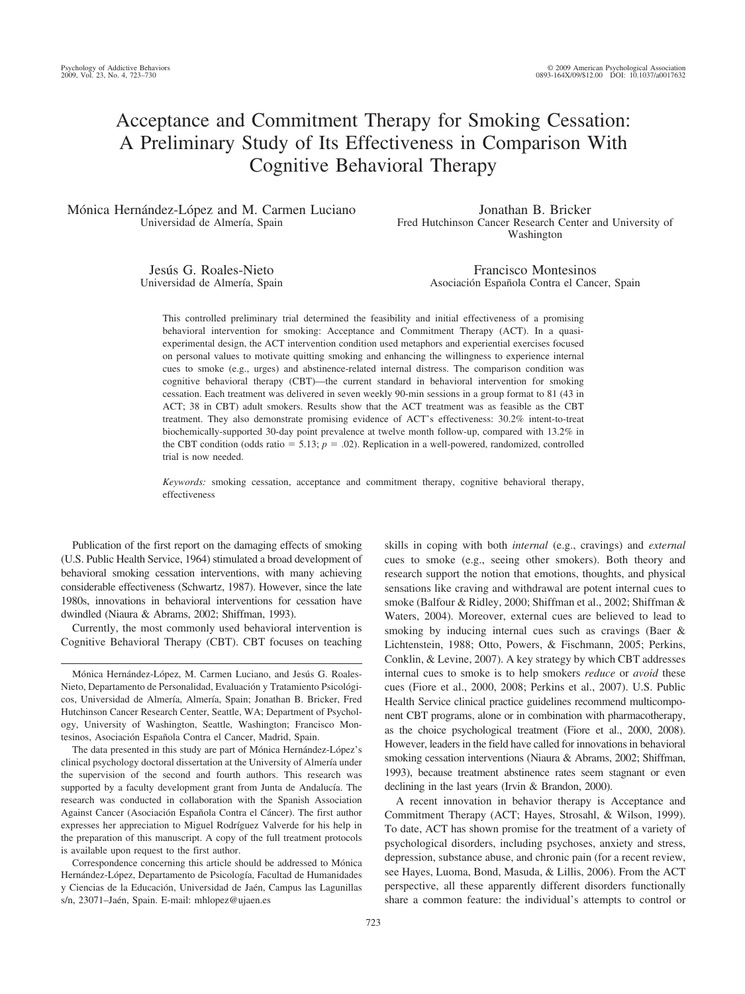# Acceptance and Commitment Therapy for Smoking Cessation: A Preliminary Study of Its Effectiveness in Comparison With Cognitive Behavioral Therapy

Mónica Hernández-López and M. Carmen Luciano Universidad de Almería, Spain

Jonathan B. Bricker Fred Hutchinson Cancer Research Center and University of Washington

Jesús G. Roales-Nieto Universidad de Almería, Spain

Francisco Montesinos Asociación Española Contra el Cancer, Spain

This controlled preliminary trial determined the feasibility and initial effectiveness of a promising behavioral intervention for smoking: Acceptance and Commitment Therapy (ACT). In a quasiexperimental design, the ACT intervention condition used metaphors and experiential exercises focused on personal values to motivate quitting smoking and enhancing the willingness to experience internal cues to smoke (e.g., urges) and abstinence-related internal distress. The comparison condition was cognitive behavioral therapy (CBT)—the current standard in behavioral intervention for smoking cessation. Each treatment was delivered in seven weekly 90-min sessions in a group format to 81 (43 in ACT; 38 in CBT) adult smokers. Results show that the ACT treatment was as feasible as the CBT treatment. They also demonstrate promising evidence of ACT's effectiveness: 30.2% intent-to-treat biochemically-supported 30-day point prevalence at twelve month follow-up, compared with 13.2% in the CBT condition (odds ratio  $= 5.13$ ;  $p = .02$ ). Replication in a well-powered, randomized, controlled trial is now needed.

*Keywords:* smoking cessation, acceptance and commitment therapy, cognitive behavioral therapy, effectiveness

Publication of the first report on the damaging effects of smoking (U.S. Public Health Service, 1964) stimulated a broad development of behavioral smoking cessation interventions, with many achieving considerable effectiveness (Schwartz, 1987). However, since the late 1980s, innovations in behavioral interventions for cessation have dwindled (Niaura & Abrams, 2002; Shiffman, 1993).

Currently, the most commonly used behavioral intervention is Cognitive Behavioral Therapy (CBT). CBT focuses on teaching

Mónica Hernández-López, M. Carmen Luciano, and Jesús G. Roales-Nieto, Departamento de Personalidad, Evaluación y Tratamiento Psicológicos, Universidad de Almería, Almería, Spain; Jonathan B. Bricker, Fred Hutchinson Cancer Research Center, Seattle, WA; Department of Psychology, University of Washington, Seattle, Washington; Francisco Montesinos, Asociación Española Contra el Cancer, Madrid, Spain.

The data presented in this study are part of Mónica Hernández-López's clinical psychology doctoral dissertation at the University of Almería under the supervision of the second and fourth authors. This research was supported by a faculty development grant from Junta de Andalucía. The research was conducted in collaboration with the Spanish Association Against Cancer (Asociación Española Contra el Cáncer). The first author expresses her appreciation to Miguel Rodríguez Valverde for his help in the preparation of this manuscript. A copy of the full treatment protocols is available upon request to the first author.

Correspondence concerning this article should be addressed to Mónica Hernández-López, Departamento de Psicología, Facultad de Humanidades y Ciencias de la Educación, Universidad de Jaén, Campus las Lagunillas s/n, 23071-Jaén, Spain. E-mail: mhlopez@ujaen.es

skills in coping with both *internal* (e.g., cravings) and *external* cues to smoke (e.g., seeing other smokers). Both theory and research support the notion that emotions, thoughts, and physical sensations like craving and withdrawal are potent internal cues to smoke (Balfour & Ridley, 2000; Shiffman et al., 2002; Shiffman & Waters, 2004). Moreover, external cues are believed to lead to smoking by inducing internal cues such as cravings (Baer & Lichtenstein, 1988; Otto, Powers, & Fischmann, 2005; Perkins, Conklin, & Levine, 2007). A key strategy by which CBT addresses internal cues to smoke is to help smokers *reduce* or *avoid* these cues (Fiore et al., 2000, 2008; Perkins et al., 2007). U.S. Public Health Service clinical practice guidelines recommend multicomponent CBT programs, alone or in combination with pharmacotherapy, as the choice psychological treatment (Fiore et al., 2000, 2008). However, leaders in the field have called for innovations in behavioral smoking cessation interventions (Niaura & Abrams, 2002; Shiffman, 1993), because treatment abstinence rates seem stagnant or even declining in the last years (Irvin & Brandon, 2000).

A recent innovation in behavior therapy is Acceptance and Commitment Therapy (ACT; Hayes, Strosahl, & Wilson, 1999). To date, ACT has shown promise for the treatment of a variety of psychological disorders, including psychoses, anxiety and stress, depression, substance abuse, and chronic pain (for a recent review, see Hayes, Luoma, Bond, Masuda, & Lillis, 2006). From the ACT perspective, all these apparently different disorders functionally share a common feature: the individual's attempts to control or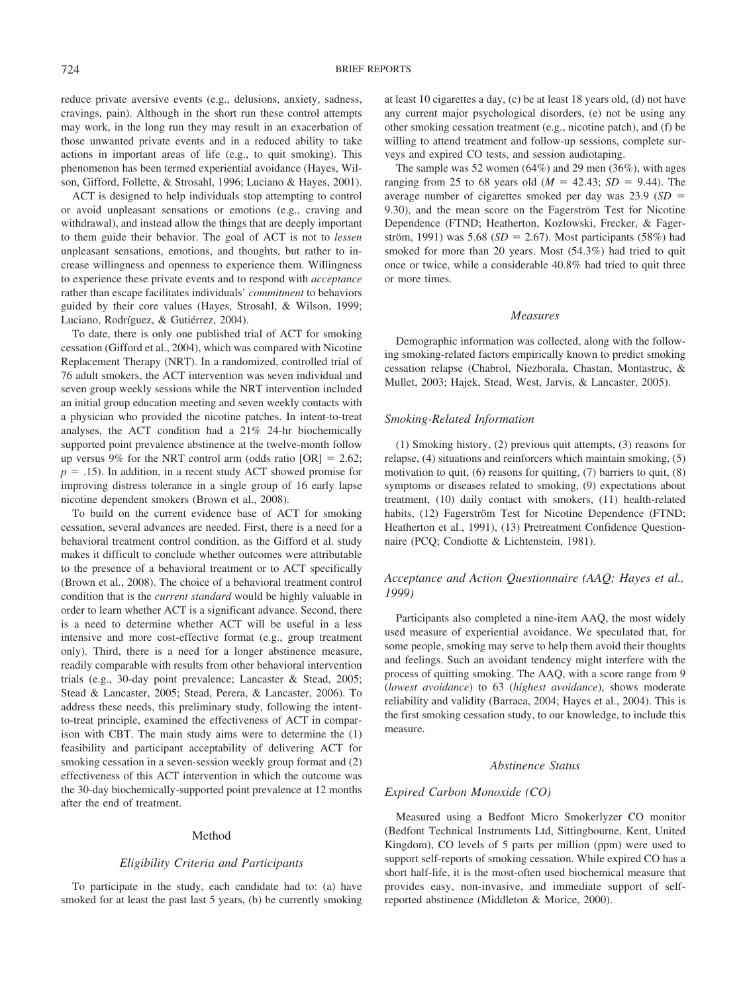reduce private aversive events (e.g., delusions, anxiety, sadness, cravings, pain). Although in the short run these control attempts may work, in the long run they may result in an exacerbation of those unwanted private events and in a reduced ability to take actions in important areas of life (e.g., to quit smoking). This phenomenon has been termed experiential avoidance (Hayes, Wilson, Gifford, Follette, & Strosahl, 1996; Luciano & Hayes, 2001).

ACT is designed to help individuals stop attempting to control or avoid unpleasant sensations or emotions (e.g., craving and withdrawal), and instead allow the things that are deeply important to them guide their behavior. The goal of ACT is not to *lessen* unpleasant sensations, emotions, and thoughts, but rather to increase willingness and openness to experience them. Willingness to experience these private events and to respond with *acceptance* rather than escape facilitates individuals' *commitment* to behaviors guided by their core values (Hayes, Strosahl, & Wilson, 1999; Luciano, Rodríguez, & Gutiérrez, 2004).

To date, there is only one published trial of ACT for smoking cessation (Gifford et al., 2004), which was compared with Nicotine Replacement Therapy (NRT). In a randomized, controlled trial of 76 adult smokers, the ACT intervention was seven individual and seven group weekly sessions while the NRT intervention included an initial group education meeting and seven weekly contacts with a physician who provided the nicotine patches. In intent-to-treat analyses, the ACT condition had a 21% 24-hr biochemically supported point prevalence abstinence at the twelve-month follow up versus 9% for the NRT control arm (odds ratio  $[OR] = 2.62$ ;  $p = .15$ ). In addition, in a recent study ACT showed promise for improving distress tolerance in a single group of 16 early lapse nicotine dependent smokers (Brown et al., 2008).

To build on the current evidence base of ACT for smoking cessation, several advances are needed. First, there is a need for a behavioral treatment control condition, as the Gifford et al. study makes it difficult to conclude whether outcomes were attributable to the presence of a behavioral treatment or to ACT specifically (Brown et al., 2008). The choice of a behavioral treatment control condition that is the *current standard* would be highly valuable in order to learn whether ACT is a significant advance. Second, there is a need to determine whether ACT will be useful in a less intensive and more cost-effective format (e.g., group treatment only). Third, there is a need for a longer abstinence measure, readily comparable with results from other behavioral intervention trials (e.g., 30-day point prevalence; Lancaster & Stead, 2005; Stead & Lancaster, 2005; Stead, Perera, & Lancaster, 2006). To address these needs, this preliminary study, following the intentto-treat principle, examined the effectiveness of ACT in comparison with CBT. The main study aims were to determine the (1) feasibility and participant acceptability of delivering ACT for smoking cessation in a seven-session weekly group format and (2) effectiveness of this ACT intervention in which the outcome was the 30-day biochemically-supported point prevalence at 12 months after the end of treatment.

# Method

# *Eligibility Criteria and Participants*

To participate in the study, each candidate had to: (a) have smoked for at least the past last 5 years, (b) be currently smoking at least 10 cigarettes a day, (c) be at least 18 years old, (d) not have any current major psychological disorders, (e) not be using any other smoking cessation treatment (e.g., nicotine patch), and (f) be willing to attend treatment and follow-up sessions, complete surveys and expired CO tests, and session audiotaping.

The sample was 52 women  $(64%)$  and 29 men  $(36%)$ , with ages ranging from 25 to 68 years old  $(M = 42.43; SD = 9.44)$ . The average number of cigarettes smoked per day was 23.9 (*SD* 9.30), and the mean score on the Fagerström Test for Nicotine Dependence (FTND; Heatherton, Kozlowski, Frecker, & Fagerström, 1991) was 5.68 ( $SD = 2.67$ ). Most participants (58%) had smoked for more than 20 years. Most (54.3%) had tried to quit once or twice, while a considerable 40.8% had tried to quit three or more times.

## *Measures*

Demographic information was collected, along with the following smoking-related factors empirically known to predict smoking cessation relapse (Chabrol, Niezborala, Chastan, Montastruc, & Mullet, 2003; Hajek, Stead, West, Jarvis, & Lancaster, 2005).

# *Smoking-Related Information*

(1) Smoking history, (2) previous quit attempts, (3) reasons for relapse, (4) situations and reinforcers which maintain smoking, (5) motivation to quit, (6) reasons for quitting, (7) barriers to quit, (8) symptoms or diseases related to smoking, (9) expectations about treatment, (10) daily contact with smokers, (11) health-related habits, (12) Fagerström Test for Nicotine Dependence (FTND; Heatherton et al., 1991), (13) Pretreatment Confidence Questionnaire (PCQ; Condiotte & Lichtenstein, 1981).

# *Acceptance and Action Questionnaire (AAQ; Hayes et al., 1999)*

Participants also completed a nine-item AAQ, the most widely used measure of experiential avoidance. We speculated that, for some people, smoking may serve to help them avoid their thoughts and feelings. Such an avoidant tendency might interfere with the process of quitting smoking. The AAQ, with a score range from 9 (*lowest avoidance*) to 63 (*highest avoidance*), shows moderate reliability and validity (Barraca, 2004; Hayes et al., 2004). This is the first smoking cessation study, to our knowledge, to include this measure.

## *Abstinence Status*

# *Expired Carbon Monoxide (CO)*

Measured using a Bedfont Micro Smokerlyzer CO monitor (Bedfont Technical Instruments Ltd, Sittingbourne, Kent, United Kingdom), CO levels of 5 parts per million (ppm) were used to support self-reports of smoking cessation. While expired CO has a short half-life, it is the most-often used biochemical measure that provides easy, non-invasive, and immediate support of selfreported abstinence (Middleton & Morice, 2000).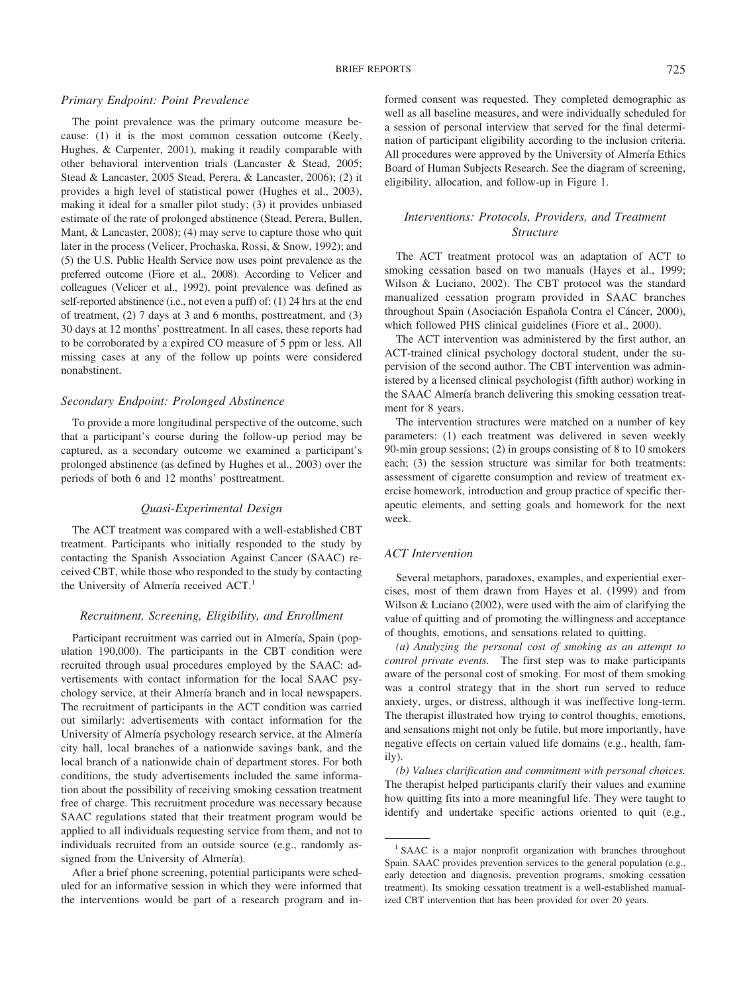# *Primary Endpoint: Point Prevalence*

The point prevalence was the primary outcome measure because: (1) it is the most common cessation outcome (Keely, Hughes, & Carpenter, 2001), making it readily comparable with other behavioral intervention trials (Lancaster & Stead, 2005; Stead & Lancaster, 2005 Stead, Perera, & Lancaster, 2006); (2) it provides a high level of statistical power (Hughes et al., 2003), making it ideal for a smaller pilot study; (3) it provides unbiased estimate of the rate of prolonged abstinence (Stead, Perera, Bullen, Mant, & Lancaster, 2008); (4) may serve to capture those who quit later in the process (Velicer, Prochaska, Rossi, & Snow, 1992); and (5) the U.S. Public Health Service now uses point prevalence as the preferred outcome (Fiore et al., 2008). According to Velicer and colleagues (Velicer et al., 1992), point prevalence was defined as self-reported abstinence (i.e., not even a puff) of: (1) 24 hrs at the end of treatment, (2) 7 days at 3 and 6 months, posttreatment, and (3) 30 days at 12 months' posttreatment. In all cases, these reports had to be corroborated by a expired CO measure of 5 ppm or less. All missing cases at any of the follow up points were considered nonabstinent.

# *Secondary Endpoint: Prolonged Abstinence*

To provide a more longitudinal perspective of the outcome, such that a participant's course during the follow-up period may be captured, as a secondary outcome we examined a participant's prolonged abstinence (as defined by Hughes et al., 2003) over the periods of both 6 and 12 months' posttreatment.

### *Quasi-Experimental Design*

The ACT treatment was compared with a well-established CBT treatment. Participants who initially responded to the study by contacting the Spanish Association Against Cancer (SAAC) received CBT, while those who responded to the study by contacting the University of Almería received ACT.<sup>1</sup>

# *Recruitment, Screening, Eligibility, and Enrollment*

Participant recruitment was carried out in Almería, Spain (population 190,000). The participants in the CBT condition were recruited through usual procedures employed by the SAAC: advertisements with contact information for the local SAAC psychology service, at their Almería branch and in local newspapers. The recruitment of participants in the ACT condition was carried out similarly: advertisements with contact information for the University of Almería psychology research service, at the Almería city hall, local branches of a nationwide savings bank, and the local branch of a nationwide chain of department stores. For both conditions, the study advertisements included the same information about the possibility of receiving smoking cessation treatment free of charge. This recruitment procedure was necessary because SAAC regulations stated that their treatment program would be applied to all individuals requesting service from them, and not to individuals recruited from an outside source (e.g., randomly assigned from the University of Almería).

After a brief phone screening, potential participants were scheduled for an informative session in which they were informed that the interventions would be part of a research program and informed consent was requested. They completed demographic as well as all baseline measures, and were individually scheduled for a session of personal interview that served for the final determination of participant eligibility according to the inclusion criteria. All procedures were approved by the University of Almería Ethics Board of Human Subjects Research. See the diagram of screening, eligibility, allocation, and follow-up in Figure 1.

# *Interventions: Protocols, Providers, and Treatment Structure*

The ACT treatment protocol was an adaptation of ACT to smoking cessation based on two manuals (Hayes et al., 1999; Wilson & Luciano, 2002). The CBT protocol was the standard manualized cessation program provided in SAAC branches throughout Spain (Asociación Española Contra el Cáncer, 2000), which followed PHS clinical guidelines (Fiore et al., 2000).

The ACT intervention was administered by the first author, an ACT-trained clinical psychology doctoral student, under the supervision of the second author. The CBT intervention was administered by a licensed clinical psychologist (fifth author) working in the SAAC Almería branch delivering this smoking cessation treatment for 8 years.

The intervention structures were matched on a number of key parameters: (1) each treatment was delivered in seven weekly 90-min group sessions; (2) in groups consisting of 8 to 10 smokers each; (3) the session structure was similar for both treatments: assessment of cigarette consumption and review of treatment exercise homework, introduction and group practice of specific therapeutic elements, and setting goals and homework for the next week.

# *ACT Intervention*

Several metaphors, paradoxes, examples, and experiential exercises, most of them drawn from Hayes et al. (1999) and from Wilson & Luciano (2002), were used with the aim of clarifying the value of quitting and of promoting the willingness and acceptance of thoughts, emotions, and sensations related to quitting.

*(a) Analyzing the personal cost of smoking as an attempt to control private events.* The first step was to make participants aware of the personal cost of smoking. For most of them smoking was a control strategy that in the short run served to reduce anxiety, urges, or distress, although it was ineffective long-term. The therapist illustrated how trying to control thoughts, emotions, and sensations might not only be futile, but more importantly, have negative effects on certain valued life domains (e.g., health, family).

*(b) Values clarification and commitment with personal choices.* The therapist helped participants clarify their values and examine how quitting fits into a more meaningful life. They were taught to identify and undertake specific actions oriented to quit (e.g.,

<sup>&</sup>lt;sup>1</sup> SAAC is a major nonprofit organization with branches throughout Spain. SAAC provides prevention services to the general population (e.g., early detection and diagnosis, prevention programs, smoking cessation treatment). Its smoking cessation treatment is a well-established manualized CBT intervention that has been provided for over 20 years.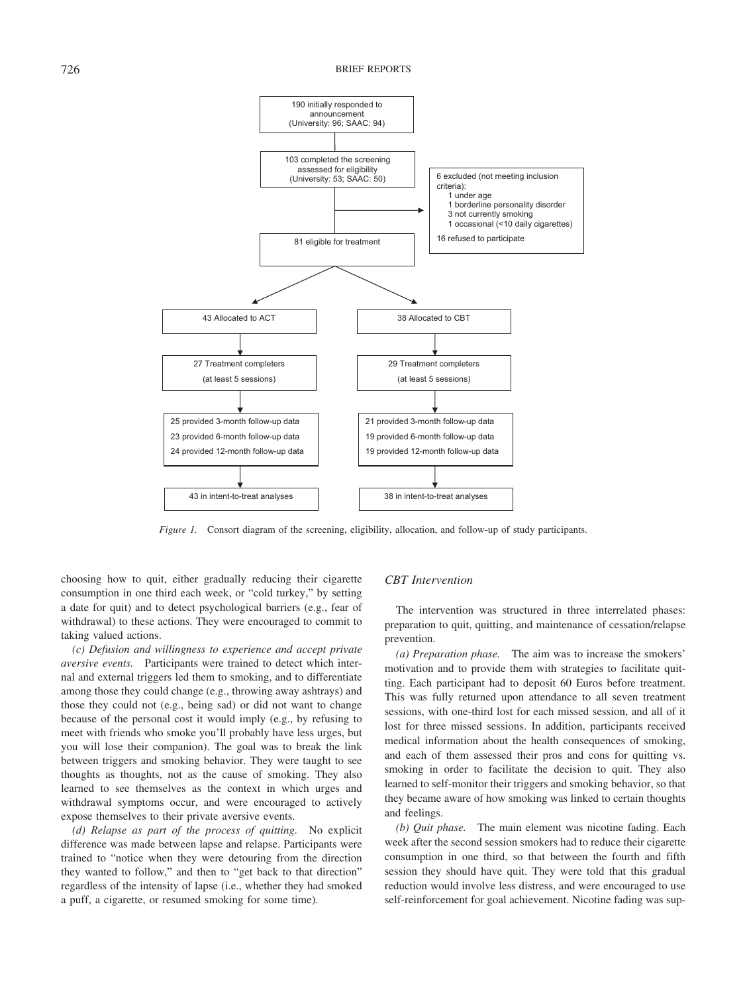

*Figure 1.* Consort diagram of the screening, eligibility, allocation, and follow-up of study participants.

choosing how to quit, either gradually reducing their cigarette consumption in one third each week, or "cold turkey," by setting a date for quit) and to detect psychological barriers (e.g., fear of withdrawal) to these actions. They were encouraged to commit to taking valued actions.

*(c) Defusion and willingness to experience and accept private aversive events.* Participants were trained to detect which internal and external triggers led them to smoking, and to differentiate among those they could change (e.g., throwing away ashtrays) and those they could not (e.g., being sad) or did not want to change because of the personal cost it would imply (e.g., by refusing to meet with friends who smoke you'll probably have less urges, but you will lose their companion). The goal was to break the link between triggers and smoking behavior. They were taught to see thoughts as thoughts, not as the cause of smoking. They also learned to see themselves as the context in which urges and withdrawal symptoms occur, and were encouraged to actively expose themselves to their private aversive events.

*(d) Relapse as part of the process of quitting.* No explicit difference was made between lapse and relapse. Participants were trained to "notice when they were detouring from the direction they wanted to follow," and then to "get back to that direction" regardless of the intensity of lapse (i.e., whether they had smoked a puff, a cigarette, or resumed smoking for some time).

# *CBT Intervention*

The intervention was structured in three interrelated phases: preparation to quit, quitting, and maintenance of cessation/relapse prevention.

*(a) Preparation phase.* The aim was to increase the smokers' motivation and to provide them with strategies to facilitate quitting. Each participant had to deposit 60 Euros before treatment. This was fully returned upon attendance to all seven treatment sessions, with one-third lost for each missed session, and all of it lost for three missed sessions. In addition, participants received medical information about the health consequences of smoking, and each of them assessed their pros and cons for quitting vs. smoking in order to facilitate the decision to quit. They also learned to self-monitor their triggers and smoking behavior, so that they became aware of how smoking was linked to certain thoughts and feelings.

*(b) Quit phase.* The main element was nicotine fading. Each week after the second session smokers had to reduce their cigarette consumption in one third, so that between the fourth and fifth session they should have quit. They were told that this gradual reduction would involve less distress, and were encouraged to use self-reinforcement for goal achievement. Nicotine fading was sup-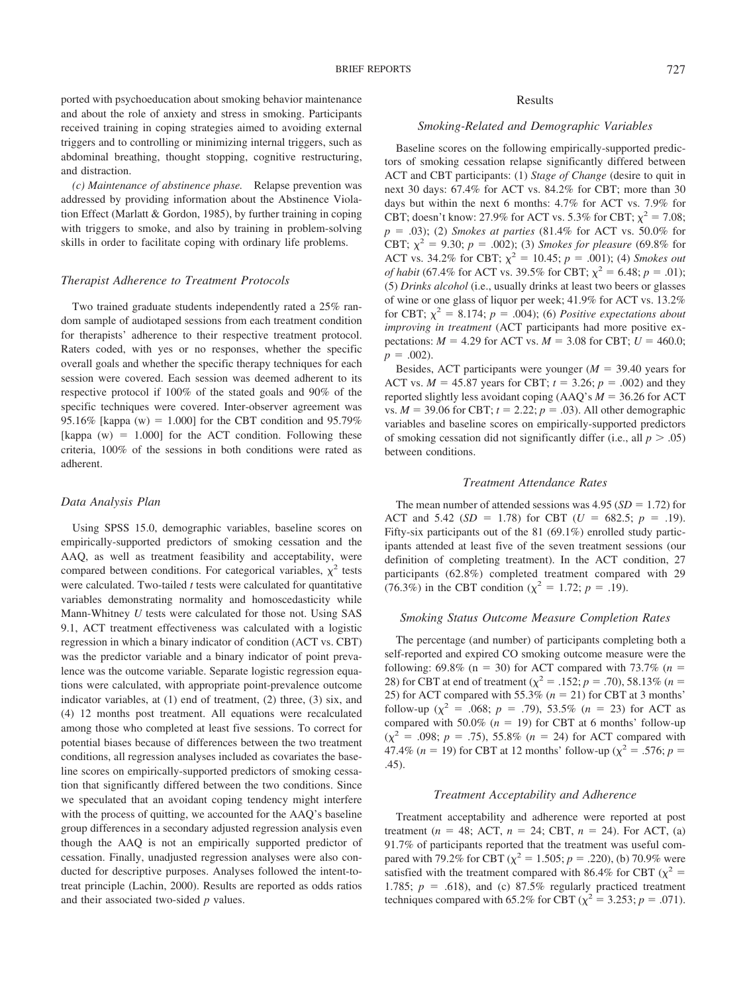ported with psychoeducation about smoking behavior maintenance and about the role of anxiety and stress in smoking. Participants received training in coping strategies aimed to avoiding external triggers and to controlling or minimizing internal triggers, such as abdominal breathing, thought stopping, cognitive restructuring, and distraction.

*(c) Maintenance of abstinence phase.* Relapse prevention was addressed by providing information about the Abstinence Violation Effect (Marlatt & Gordon, 1985), by further training in coping with triggers to smoke, and also by training in problem-solving skills in order to facilitate coping with ordinary life problems.

### *Therapist Adherence to Treatment Protocols*

Two trained graduate students independently rated a 25% random sample of audiotaped sessions from each treatment condition for therapists' adherence to their respective treatment protocol. Raters coded, with yes or no responses, whether the specific overall goals and whether the specific therapy techniques for each session were covered. Each session was deemed adherent to its respective protocol if 100% of the stated goals and 90% of the specific techniques were covered. Inter-observer agreement was 95.16% [kappa (w) = 1.000] for the CBT condition and 95.79% [kappa  $(w) = 1.000$ ] for the ACT condition. Following these criteria, 100% of the sessions in both conditions were rated as adherent.

## *Data Analysis Plan*

Using SPSS 15.0, demographic variables, baseline scores on empirically-supported predictors of smoking cessation and the AAQ, as well as treatment feasibility and acceptability, were compared between conditions. For categorical variables,  $\chi^2$  tests were calculated. Two-tailed *t* tests were calculated for quantitative variables demonstrating normality and homoscedasticity while Mann-Whitney *U* tests were calculated for those not. Using SAS 9.1, ACT treatment effectiveness was calculated with a logistic regression in which a binary indicator of condition (ACT vs. CBT) was the predictor variable and a binary indicator of point prevalence was the outcome variable. Separate logistic regression equations were calculated, with appropriate point-prevalence outcome indicator variables, at (1) end of treatment, (2) three, (3) six, and (4) 12 months post treatment. All equations were recalculated among those who completed at least five sessions. To correct for potential biases because of differences between the two treatment conditions, all regression analyses included as covariates the baseline scores on empirically-supported predictors of smoking cessation that significantly differed between the two conditions. Since we speculated that an avoidant coping tendency might interfere with the process of quitting, we accounted for the AAQ's baseline group differences in a secondary adjusted regression analysis even though the AAQ is not an empirically supported predictor of cessation. Finally, unadjusted regression analyses were also conducted for descriptive purposes. Analyses followed the intent-totreat principle (Lachin, 2000). Results are reported as odds ratios and their associated two-sided *p* values.

# Results

# *Smoking-Related and Demographic Variables*

Baseline scores on the following empirically-supported predictors of smoking cessation relapse significantly differed between ACT and CBT participants: (1) *Stage of Change* (desire to quit in next 30 days: 67.4% for ACT vs. 84.2% for CBT; more than 30 days but within the next 6 months: 4.7% for ACT vs. 7.9% for CBT; doesn't know: 27.9% for ACT vs. 5.3% for CBT;  $\chi^2 = 7.08$ ;  $p = .03$ ); (2) *Smokes at parties* (81.4% for ACT vs. 50.0% for CBT;  $\chi^2 = 9.30$ ;  $p = .002$ ); (3) *Smokes for pleasure* (69.8% for ACT vs. 34.2% for CBT;  $\chi^2 = 10.45$ ;  $p = .001$ ; (4) *Smokes out of habit* (67.4% for ACT vs. 39.5% for CBT;  $\chi^2 = 6.48$ ; *p* = .01); (5) *Drinks alcohol* (i.e., usually drinks at least two beers or glasses of wine or one glass of liquor per week; 41.9% for ACT vs. 13.2% for CBT;  $\chi^2 = 8.174$ ;  $p = .004$ ); (6) *Positive expectations about improving in treatment* (ACT participants had more positive expectations:  $M = 4.29$  for ACT vs.  $M = 3.08$  for CBT;  $U = 460.0$ ;  $p = .002$ ).

Besides, ACT participants were younger  $(M = 39.40$  years for ACT vs.  $M = 45.87$  years for CBT;  $t = 3.26$ ;  $p = .002$ ) and they reported slightly less avoidant coping  $(AAQ's M = 36.26$  for ACT vs.  $M = 39.06$  for CBT;  $t = 2.22$ ;  $p = .03$ ). All other demographic variables and baseline scores on empirically-supported predictors of smoking cessation did not significantly differ (i.e., all  $p > .05$ ) between conditions.

### *Treatment Attendance Rates*

The mean number of attended sessions was  $4.95$  (*SD* = 1.72) for ACT and 5.42 ( $SD = 1.78$ ) for CBT ( $U = 682.5$ ;  $p = .19$ ). Fifty-six participants out of the 81 (69.1%) enrolled study participants attended at least five of the seven treatment sessions (our definition of completing treatment). In the ACT condition, 27 participants (62.8%) completed treatment compared with 29 (76.3%) in the CBT condition ( $\chi^2 = 1.72$ ; *p* = .19).

### *Smoking Status Outcome Measure Completion Rates*

The percentage (and number) of participants completing both a self-reported and expired CO smoking outcome measure were the following: 69.8% ( $n = 30$ ) for ACT compared with 73.7% ( $n =$ 28) for CBT at end of treatment ( $\chi^2 = .152$ ; *p* = .70), 58.13% (*n* = 25) for ACT compared with 55.3% ( $n = 21$ ) for CBT at 3 months' follow-up ( $\chi^2$  = .068; *p* = .79), 53.5% (*n* = 23) for ACT as compared with 50.0%  $(n = 19)$  for CBT at 6 months' follow-up  $(\chi^2 = .098; p = .75)$ , 55.8% (*n* = 24) for ACT compared with 47.4% (*n* = 19) for CBT at 12 months' follow-up ( $\chi^2$  = .576; *p* = .45).

## *Treatment Acceptability and Adherence*

Treatment acceptability and adherence were reported at post treatment ( $n = 48$ ; ACT,  $n = 24$ ; CBT,  $n = 24$ ). For ACT, (a) 91.7% of participants reported that the treatment was useful compared with 79.2% for CBT ( $\chi^2 = 1.505$ ; *p* = .220), (b) 70.9% were satisfied with the treatment compared with 86.4% for CBT ( $\chi^2$  = 1.785;  $p = .618$ ), and (c) 87.5% regularly practiced treatment techniques compared with 65.2% for CBT ( $\chi^2 = 3.253$ ; *p* = .071).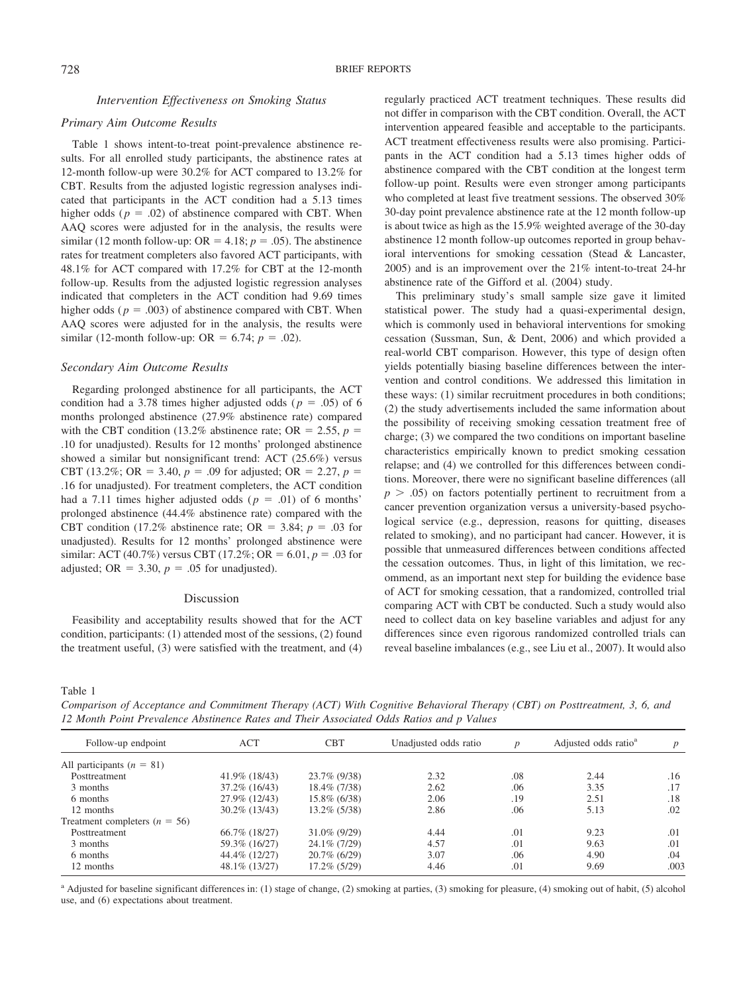*Intervention Effectiveness on Smoking Status*

# *Primary Aim Outcome Results*

Table 1 shows intent-to-treat point-prevalence abstinence results. For all enrolled study participants, the abstinence rates at 12-month follow-up were 30.2% for ACT compared to 13.2% for CBT. Results from the adjusted logistic regression analyses indicated that participants in the ACT condition had a 5.13 times higher odds ( $p = .02$ ) of abstinence compared with CBT. When AAQ scores were adjusted for in the analysis, the results were similar (12 month follow-up:  $OR = 4.18$ ;  $p = .05$ ). The abstinence rates for treatment completers also favored ACT participants, with 48.1% for ACT compared with 17.2% for CBT at the 12-month follow-up. Results from the adjusted logistic regression analyses indicated that completers in the ACT condition had 9.69 times higher odds ( $p = .003$ ) of abstinence compared with CBT. When AAQ scores were adjusted for in the analysis, the results were similar (12-month follow-up: OR = 6.74;  $p = .02$ ).

# *Secondary Aim Outcome Results*

Regarding prolonged abstinence for all participants, the ACT condition had a 3.78 times higher adjusted odds ( $p = .05$ ) of 6 months prolonged abstinence (27.9% abstinence rate) compared with the CBT condition (13.2% abstinence rate; OR  $= 2.55$ ,  $p =$ .10 for unadjusted). Results for 12 months' prolonged abstinence showed a similar but nonsignificant trend: ACT (25.6%) versus CBT (13.2%; OR = 3.40,  $p = .09$  for adjusted; OR = 2.27,  $p =$ .16 for unadjusted). For treatment completers, the ACT condition had a 7.11 times higher adjusted odds ( $p = .01$ ) of 6 months' prolonged abstinence (44.4% abstinence rate) compared with the CBT condition (17.2% abstinence rate; OR  $=$  3.84;  $p = .03$  for unadjusted). Results for 12 months' prolonged abstinence were similar: ACT (40.7%) versus CBT (17.2%; OR = 6.01,  $p = .03$  for adjusted; OR  $=$  3.30,  $p = .05$  for unadjusted).

#### Discussion

Feasibility and acceptability results showed that for the ACT condition, participants: (1) attended most of the sessions, (2) found the treatment useful, (3) were satisfied with the treatment, and (4) regularly practiced ACT treatment techniques. These results did not differ in comparison with the CBT condition. Overall, the ACT intervention appeared feasible and acceptable to the participants. ACT treatment effectiveness results were also promising. Participants in the ACT condition had a 5.13 times higher odds of abstinence compared with the CBT condition at the longest term follow-up point. Results were even stronger among participants who completed at least five treatment sessions. The observed 30% 30-day point prevalence abstinence rate at the 12 month follow-up is about twice as high as the 15.9% weighted average of the 30-day abstinence 12 month follow-up outcomes reported in group behavioral interventions for smoking cessation (Stead & Lancaster, 2005) and is an improvement over the 21% intent-to-treat 24-hr abstinence rate of the Gifford et al. (2004) study.

This preliminary study's small sample size gave it limited statistical power. The study had a quasi-experimental design, which is commonly used in behavioral interventions for smoking cessation (Sussman, Sun, & Dent, 2006) and which provided a real-world CBT comparison. However, this type of design often yields potentially biasing baseline differences between the intervention and control conditions. We addressed this limitation in these ways: (1) similar recruitment procedures in both conditions; (2) the study advertisements included the same information about the possibility of receiving smoking cessation treatment free of charge; (3) we compared the two conditions on important baseline characteristics empirically known to predict smoking cessation relapse; and (4) we controlled for this differences between conditions. Moreover, there were no significant baseline differences (all  $p > .05$ ) on factors potentially pertinent to recruitment from a cancer prevention organization versus a university-based psychological service (e.g., depression, reasons for quitting, diseases related to smoking), and no participant had cancer. However, it is possible that unmeasured differences between conditions affected the cessation outcomes. Thus, in light of this limitation, we recommend, as an important next step for building the evidence base of ACT for smoking cessation, that a randomized, controlled trial comparing ACT with CBT be conducted. Such a study would also need to collect data on key baseline variables and adjust for any differences since even rigorous randomized controlled trials can reveal baseline imbalances (e.g., see Liu et al., 2007). It would also

Table 1

*Comparison of Acceptance and Commitment Therapy (ACT) With Cognitive Behavioral Therapy (CBT) on Posttreatment, 3, 6, and 12 Month Point Prevalence Abstinence Rates and Their Associated Odds Ratios and p Values*

| Follow-up endpoint              | <b>ACT</b>       | <b>CBT</b>      | Unadjusted odds ratio | $\boldsymbol{D}$ | Adjusted odds ratio <sup>a</sup> | $\boldsymbol{p}$ |
|---------------------------------|------------------|-----------------|-----------------------|------------------|----------------------------------|------------------|
| All participants $(n = 81)$     |                  |                 |                       |                  |                                  |                  |
| Posttreatment                   | 41.9% (18/43)    | 23.7% (9/38)    | 2.32                  | .08              | 2.44                             | .16              |
| 3 months                        | $37.2\%$ (16/43) | 18.4\% (7/38)   | 2.62                  | .06              | 3.35                             | .17              |
| 6 months                        | 27.9% (12/43)    | $15.8\%$ (6/38) | 2.06                  | .19              | 2.51                             | .18              |
| 12 months                       | $30.2\%$ (13/43) | $13.2\%$ (5/38) | 2.86                  | .06              | 5.13                             | .02              |
| Treatment completers $(n = 56)$ |                  |                 |                       |                  |                                  |                  |
| Posttreatment                   | 66.7% (18/27)    | $31.0\%$ (9/29) | 4.44                  | .01              | 9.23                             | .01              |
| 3 months                        | 59.3% (16/27)    | 24.1\% (7/29)   | 4.57                  | .01              | 9.63                             | .01              |
| 6 months                        | 44.4% (12/27)    | $20.7\%$ (6/29) | 3.07                  | .06              | 4.90                             | .04              |
| 12 months                       | 48.1% (13/27)    | $17.2\%$ (5/29) | 4.46                  | .01              | 9.69                             | .003             |

a Adjusted for baseline significant differences in: (1) stage of change, (2) smoking at parties, (3) smoking for pleasure, (4) smoking out of habit, (5) alcohol use, and (6) expectations about treatment.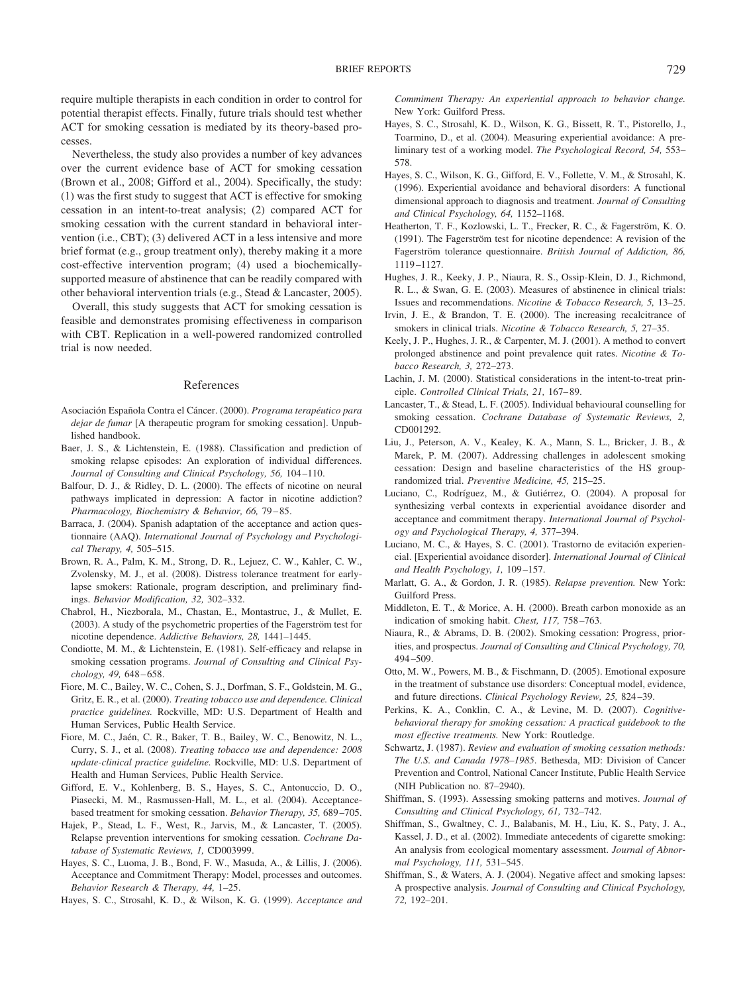require multiple therapists in each condition in order to control for potential therapist effects. Finally, future trials should test whether ACT for smoking cessation is mediated by its theory-based processes.

Nevertheless, the study also provides a number of key advances over the current evidence base of ACT for smoking cessation (Brown et al., 2008; Gifford et al., 2004). Specifically, the study: (1) was the first study to suggest that ACT is effective for smoking cessation in an intent-to-treat analysis; (2) compared ACT for smoking cessation with the current standard in behavioral intervention (i.e., CBT); (3) delivered ACT in a less intensive and more brief format (e.g., group treatment only), thereby making it a more cost-effective intervention program; (4) used a biochemicallysupported measure of abstinence that can be readily compared with other behavioral intervention trials (e.g., Stead & Lancaster, 2005).

Overall, this study suggests that ACT for smoking cessation is feasible and demonstrates promising effectiveness in comparison with CBT. Replication in a well-powered randomized controlled trial is now needed.

## References

- Asociación Española Contra el Cáncer. (2000). *Programa terapéutico para dejar de fumar* [A therapeutic program for smoking cessation]. Unpublished handbook.
- Baer, J. S., & Lichtenstein, E. (1988). Classification and prediction of smoking relapse episodes: An exploration of individual differences. *Journal of Consulting and Clinical Psychology, 56,* 104–110.
- Balfour, D. J., & Ridley, D. L. (2000). The effects of nicotine on neural pathways implicated in depression: A factor in nicotine addiction? *Pharmacology, Biochemistry & Behavior, 66,* 79–85.
- Barraca, J. (2004). Spanish adaptation of the acceptance and action questionnaire (AAQ). *International Journal of Psychology and Psychological Therapy, 4,* 505–515.
- Brown, R. A., Palm, K. M., Strong, D. R., Lejuez, C. W., Kahler, C. W., Zvolensky, M. J., et al. (2008). Distress tolerance treatment for earlylapse smokers: Rationale, program description, and preliminary findings. *Behavior Modification, 32,* 302–332.
- Chabrol, H., Niezborala, M., Chastan, E., Montastruc, J., & Mullet, E. (2003). A study of the psychometric properties of the Fagerström test for nicotine dependence. *Addictive Behaviors, 28,* 1441–1445.
- Condiotte, M. M., & Lichtenstein, E. (1981). Self-efficacy and relapse in smoking cessation programs. *Journal of Consulting and Clinical Psychology, 49,* 648–658.
- Fiore, M. C., Bailey, W. C., Cohen, S. J., Dorfman, S. F., Goldstein, M. G., Gritz, E. R., et al. (2000). *Treating tobacco use and dependence. Clinical practice guidelines.* Rockville, MD: U.S. Department of Health and Human Services, Public Health Service.
- Fiore, M. C., Jaén, C. R., Baker, T. B., Bailey, W. C., Benowitz, N. L., Curry, S. J., et al. (2008). *Treating tobacco use and dependence: 2008 update-clinical practice guideline.* Rockville, MD: U.S. Department of Health and Human Services, Public Health Service.
- Gifford, E. V., Kohlenberg, B. S., Hayes, S. C., Antonuccio, D. O., Piasecki, M. M., Rasmussen-Hall, M. L., et al. (2004). Acceptancebased treatment for smoking cessation. *Behavior Therapy, 35,* 689–705.
- Hajek, P., Stead, L. F., West, R., Jarvis, M., & Lancaster, T. (2005). Relapse prevention interventions for smoking cessation. *Cochrane Database of Systematic Reviews, 1,* CD003999.
- Hayes, S. C., Luoma, J. B., Bond, F. W., Masuda, A., & Lillis, J. (2006). Acceptance and Commitment Therapy: Model, processes and outcomes. *Behavior Research & Therapy, 44,* 1–25.
- Hayes, S. C., Strosahl, K. D., & Wilson, K. G. (1999). *Acceptance and*

*Commiment Therapy: An experiential approach to behavior change.* New York: Guilford Press.

- Hayes, S. C., Strosahl, K. D., Wilson, K. G., Bissett, R. T., Pistorello, J., Toarmino, D., et al. (2004). Measuring experiential avoidance: A preliminary test of a working model. *The Psychological Record, 54,* 553– 578.
- Hayes, S. C., Wilson, K. G., Gifford, E. V., Follette, V. M., & Strosahl, K. (1996). Experiential avoidance and behavioral disorders: A functional dimensional approach to diagnosis and treatment. *Journal of Consulting and Clinical Psychology, 64,* 1152–1168.
- Heatherton, T. F., Kozlowski, L. T., Frecker, R. C., & Fagerström, K. O.  $(1991)$ . The Fagerström test for nicotine dependence: A revision of the Fagerström tolerance questionnaire. *British Journal of Addiction, 86,* 1119–1127.
- Hughes, J. R., Keeky, J. P., Niaura, R. S., Ossip-Klein, D. J., Richmond, R. L., & Swan, G. E. (2003). Measures of abstinence in clinical trials: Issues and recommendations. *Nicotine & Tobacco Research, 5,* 13–25.
- Irvin, J. E., & Brandon, T. E. (2000). The increasing recalcitrance of smokers in clinical trials. *Nicotine & Tobacco Research, 5,* 27–35.
- Keely, J. P., Hughes, J. R., & Carpenter, M. J. (2001). A method to convert prolonged abstinence and point prevalence quit rates. *Nicotine & Tobacco Research, 3,* 272–273.
- Lachin, J. M. (2000). Statistical considerations in the intent-to-treat principle. *Controlled Clinical Trials, 21,* 167–89.
- Lancaster, T., & Stead, L. F. (2005). Individual behavioural counselling for smoking cessation. *Cochrane Database of Systematic Reviews, 2,* CD001292.
- Liu, J., Peterson, A. V., Kealey, K. A., Mann, S. L., Bricker, J. B., & Marek, P. M. (2007). Addressing challenges in adolescent smoking cessation: Design and baseline characteristics of the HS grouprandomized trial. *Preventive Medicine, 45,* 215–25.
- Luciano, C., Rodríguez, M., & Gutiérrez, O. (2004). A proposal for synthesizing verbal contexts in experiential avoidance disorder and acceptance and commitment therapy. *International Journal of Psychology and Psychological Therapy, 4,* 377–394.
- Luciano, M. C., & Hayes, S. C. (2001). Trastorno de evitación experiencial. [Experiential avoidance disorder]. *International Journal of Clinical and Health Psychology, 1,* 109–157.
- Marlatt, G. A., & Gordon, J. R. (1985). *Relapse prevention.* New York: Guilford Press.
- Middleton, E. T., & Morice, A. H. (2000). Breath carbon monoxide as an indication of smoking habit. *Chest, 117,* 758–763.
- Niaura, R., & Abrams, D. B. (2002). Smoking cessation: Progress, priorities, and prospectus. *Journal of Consulting and Clinical Psychology, 70,* 494–509.
- Otto, M. W., Powers, M. B., & Fischmann, D. (2005). Emotional exposure in the treatment of substance use disorders: Conceptual model, evidence, and future directions. *Clinical Psychology Review, 25,* 824–39.
- Perkins, K. A., Conklin, C. A., & Levine, M. D. (2007). *Cognitivebehavioral therapy for smoking cessation: A practical guidebook to the most effective treatments.* New York: Routledge.
- Schwartz, J. (1987). *Review and evaluation of smoking cessation methods: The U.S. and Canada 1978*–*1985*. Bethesda, MD: Division of Cancer Prevention and Control, National Cancer Institute, Public Health Service (NIH Publication no. 87–2940).
- Shiffman, S. (1993). Assessing smoking patterns and motives. *Journal of Consulting and Clinical Psychology, 61,* 732–742.
- Shiffman, S., Gwaltney, C. J., Balabanis, M. H., Liu, K. S., Paty, J. A., Kassel, J. D., et al. (2002). Immediate antecedents of cigarette smoking: An analysis from ecological momentary assessment. *Journal of Abnormal Psychology, 111,* 531–545.
- Shiffman, S., & Waters, A. J. (2004). Negative affect and smoking lapses: A prospective analysis. *Journal of Consulting and Clinical Psychology, 72,* 192–201.